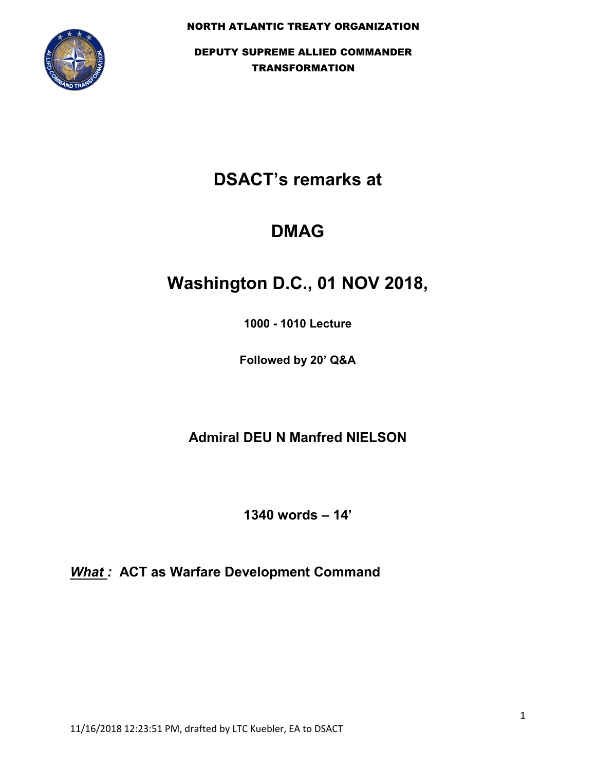

## **DSACT's remarks at**

## **DMAG**

# **Washington D.C., 01 NOV 2018,**

**1000 - 1010 Lecture**

**Followed by 20' Q&A**

**Admiral DEU N Manfred NIELSON**

**1340 words – 14'**

*What :* **ACT as Warfare Development Command**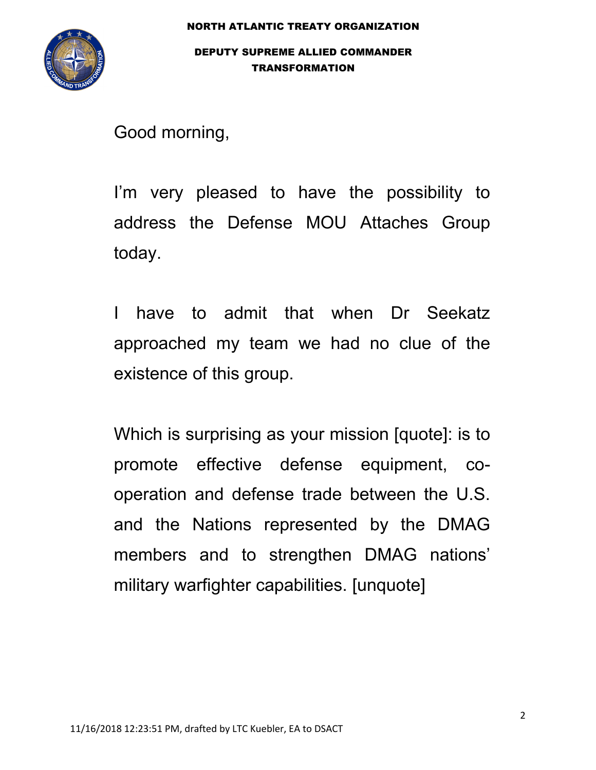

Good morning,

I'm very pleased to have the possibility to address the Defense MOU Attaches Group today.

I have to admit that when Dr Seekatz approached my team we had no clue of the existence of this group.

Which is surprising as your mission [quote]: is to promote effective defense equipment, cooperation and defense trade between the U.S. and the Nations represented by the DMAG members and to strengthen DMAG nations' military warfighter capabilities. [unquote]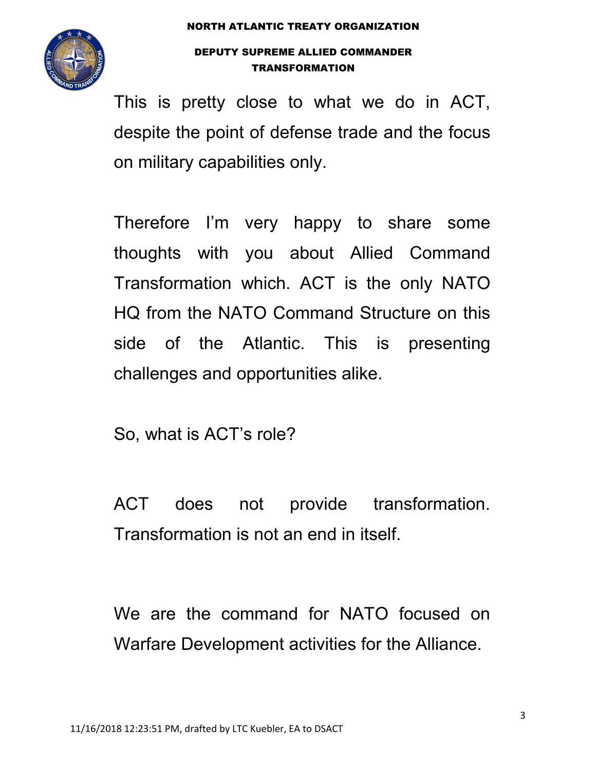

This is pretty close to what we do in ACT, despite the point of defense trade and the focus on military capabilities only.

Therefore I'm very happy to share some thoughts with you about Allied Command Transformation which. ACT is the only NATO HQ from the NATO Command Structure on this side of the Atlantic. This is presenting challenges and opportunities alike.

So, what is ACT's role?

ACT does not provide transformation. Transformation is not an end in itself.

We are the command for NATO focused on Warfare Development activities for the Alliance.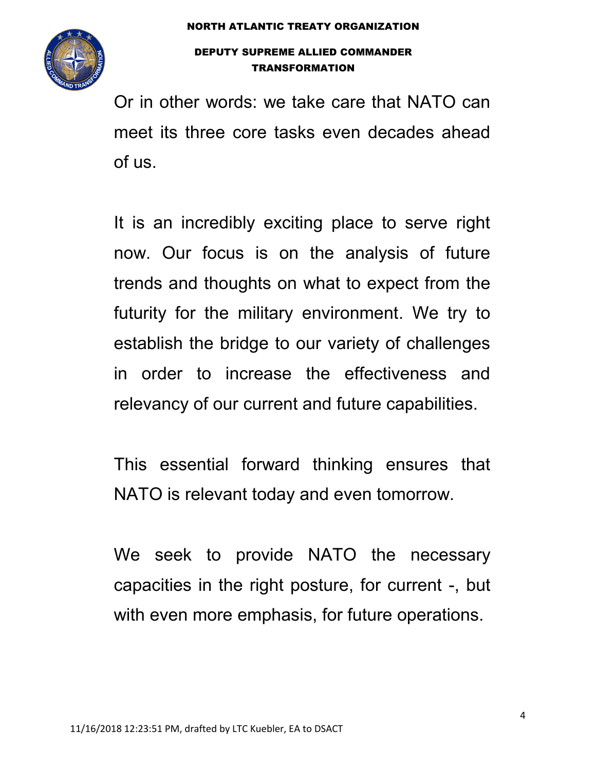

Or in other words: we take care that NATO can meet its three core tasks even decades ahead of us.

It is an incredibly exciting place to serve right now. Our focus is on the analysis of future trends and thoughts on what to expect from the futurity for the military environment. We try to establish the bridge to our variety of challenges in order to increase the effectiveness and relevancy of our current and future capabilities.

This essential forward thinking ensures that NATO is relevant today and even tomorrow.

We seek to provide NATO the necessary capacities in the right posture, for current -, but with even more emphasis, for future operations.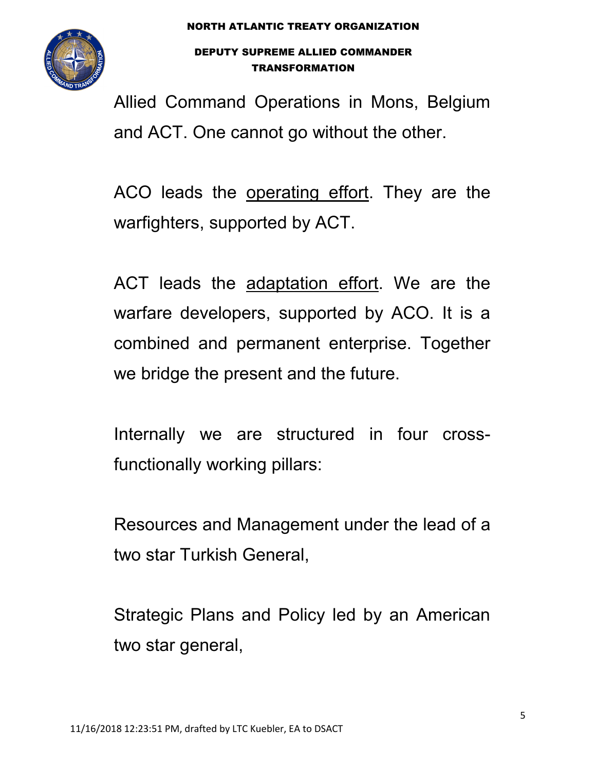

Allied Command Operations in Mons, Belgium and ACT. One cannot go without the other.

ACO leads the operating effort. They are the warfighters, supported by ACT.

ACT leads the adaptation effort. We are the warfare developers, supported by ACO. It is a combined and permanent enterprise. Together we bridge the present and the future.

Internally we are structured in four crossfunctionally working pillars:

Resources and Management under the lead of a two star Turkish General,

Strategic Plans and Policy led by an American two star general,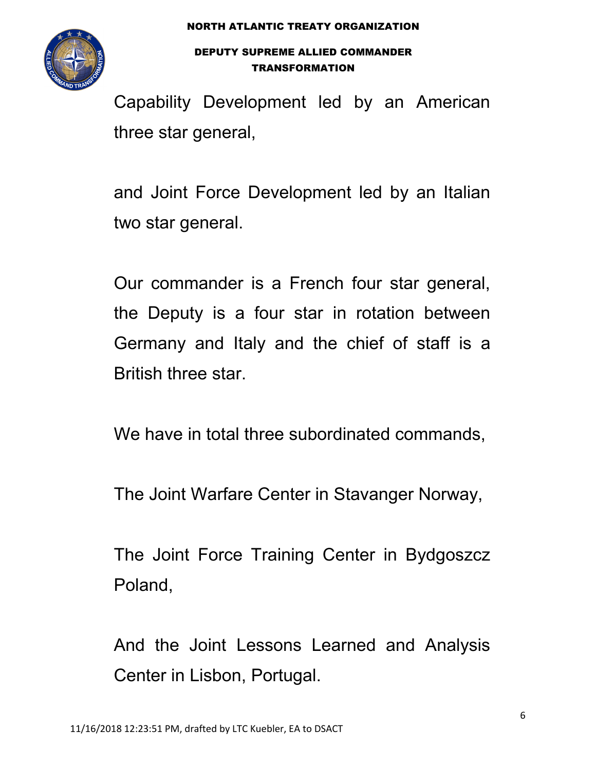

Capability Development led by an American three star general,

and Joint Force Development led by an Italian two star general.

Our commander is a French four star general, the Deputy is a four star in rotation between Germany and Italy and the chief of staff is a British three star.

We have in total three subordinated commands,

The Joint Warfare Center in Stavanger Norway,

The Joint Force Training Center in Bydgoszcz Poland,

And the Joint Lessons Learned and Analysis Center in Lisbon, Portugal.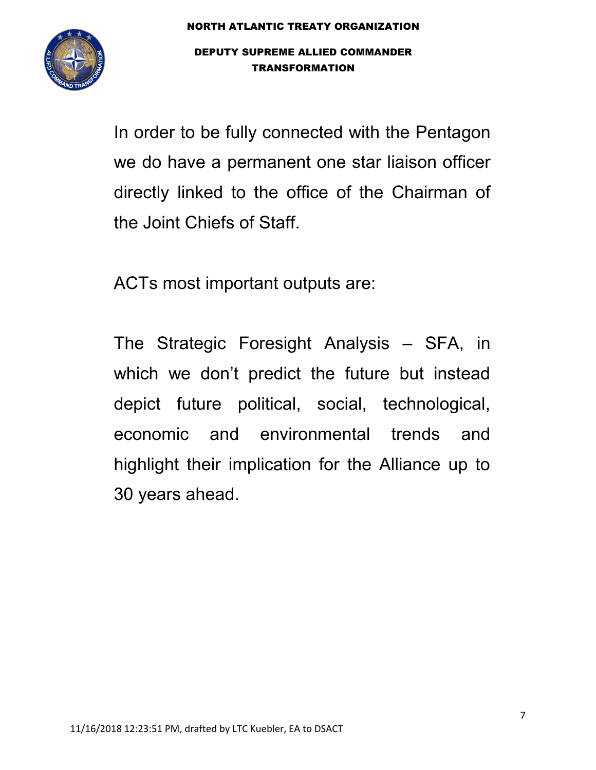

In order to be fully connected with the Pentagon we do have a permanent one star liaison officer directly linked to the office of the Chairman of the Joint Chiefs of Staff.

ACTs most important outputs are:

The Strategic Foresight Analysis – SFA, in which we don't predict the future but instead depict future political, social, technological, economic and environmental trends and highlight their implication for the Alliance up to 30 years ahead.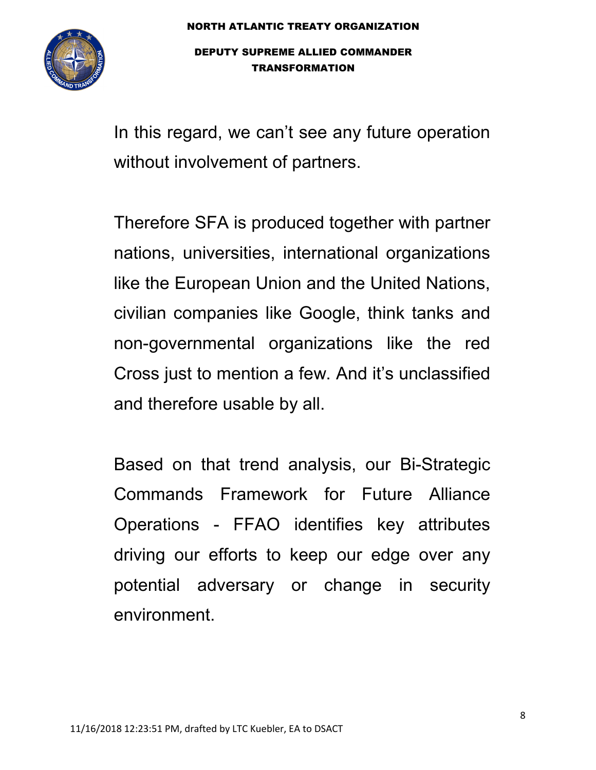

In this regard, we can't see any future operation without involvement of partners.

Therefore SFA is produced together with partner nations, universities, international organizations like the European Union and the United Nations, civilian companies like Google, think tanks and non-governmental organizations like the red Cross just to mention a few. And it's unclassified and therefore usable by all.

Based on that trend analysis, our Bi-Strategic Commands Framework for Future Alliance Operations - FFAO identifies key attributes driving our efforts to keep our edge over any potential adversary or change in security environment.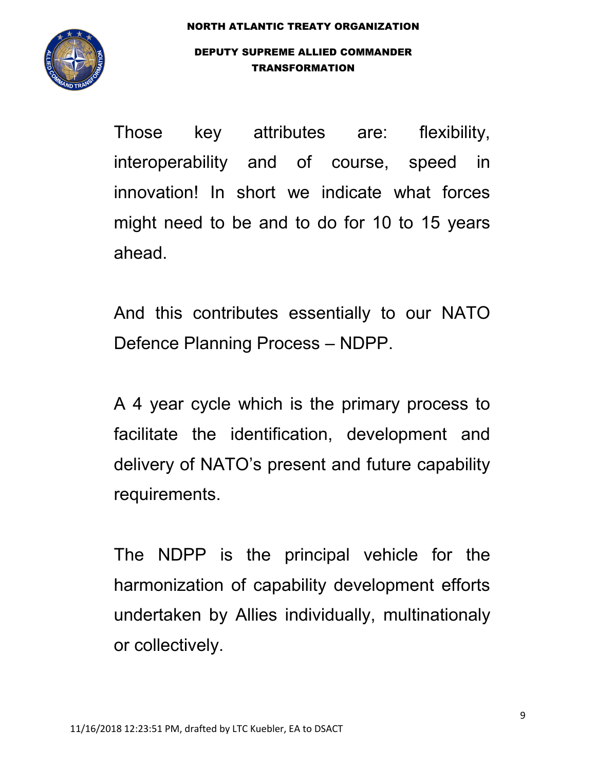

Those key attributes are: flexibility, interoperability and of course, speed in innovation! In short we indicate what forces might need to be and to do for 10 to 15 years ahead.

And this contributes essentially to our NATO Defence Planning Process – NDPP.

A 4 year cycle which is the primary process to facilitate the identification, development and delivery of NATO's present and future capability requirements.

The NDPP is the principal vehicle for the harmonization of capability development efforts undertaken by Allies individually, multinationaly or collectively.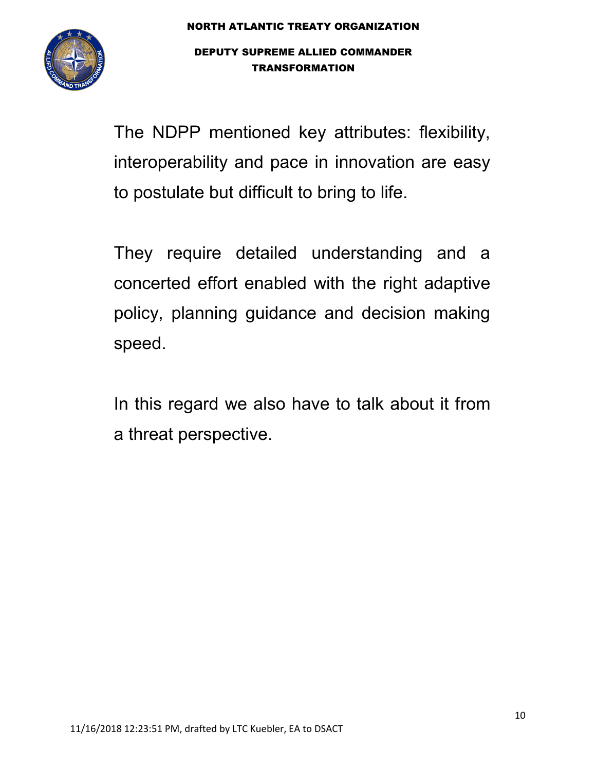

The NDPP mentioned key attributes: flexibility, interoperability and pace in innovation are easy to postulate but difficult to bring to life.

They require detailed understanding and a concerted effort enabled with the right adaptive policy, planning guidance and decision making speed.

In this regard we also have to talk about it from a threat perspective.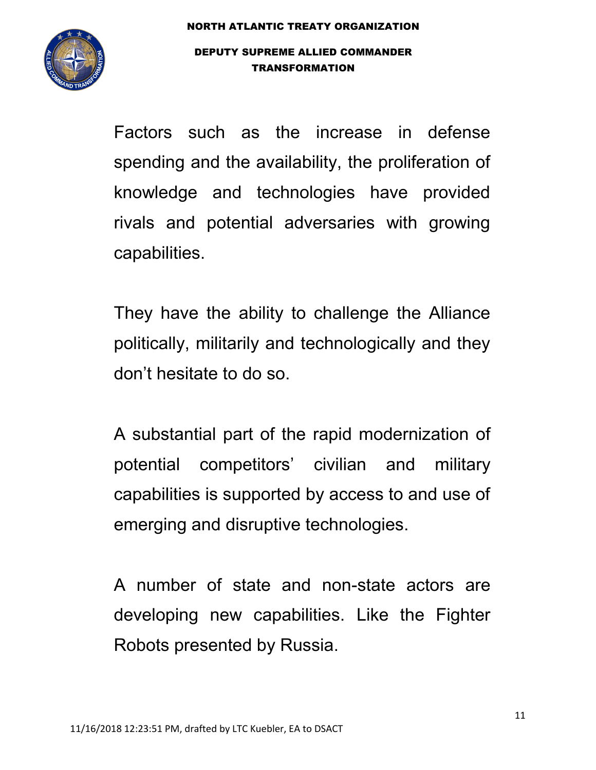

Factors such as the increase in defense spending and the availability, the proliferation of knowledge and technologies have provided rivals and potential adversaries with growing capabilities.

They have the ability to challenge the Alliance politically, militarily and technologically and they don't hesitate to do so.

A substantial part of the rapid modernization of potential competitors' civilian and military capabilities is supported by access to and use of emerging and disruptive technologies.

A number of state and non-state actors are developing new capabilities. Like the Fighter Robots presented by Russia.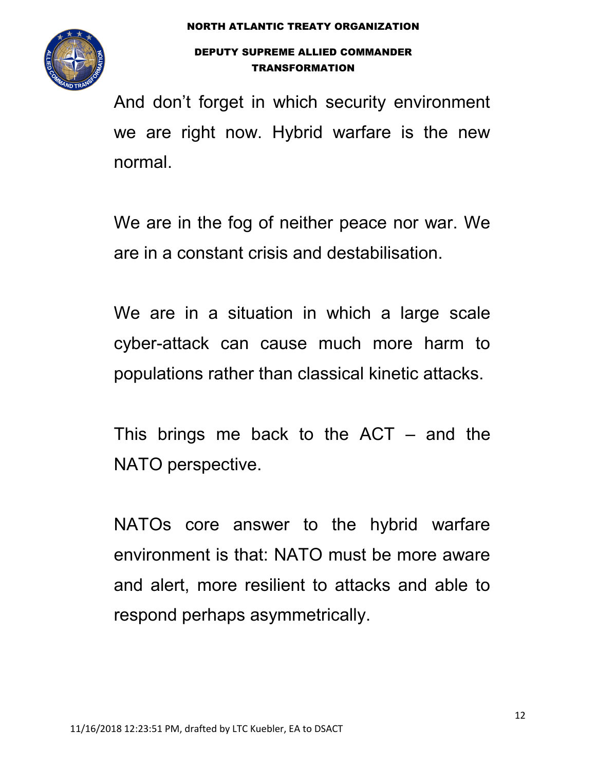

And don't forget in which security environment we are right now. Hybrid warfare is the new normal.

We are in the fog of neither peace nor war. We are in a constant crisis and destabilisation.

We are in a situation in which a large scale cyber-attack can cause much more harm to populations rather than classical kinetic attacks.

This brings me back to the  $ACT - and$  the NATO perspective.

NATOs core answer to the hybrid warfare environment is that: NATO must be more aware and alert, more resilient to attacks and able to respond perhaps asymmetrically.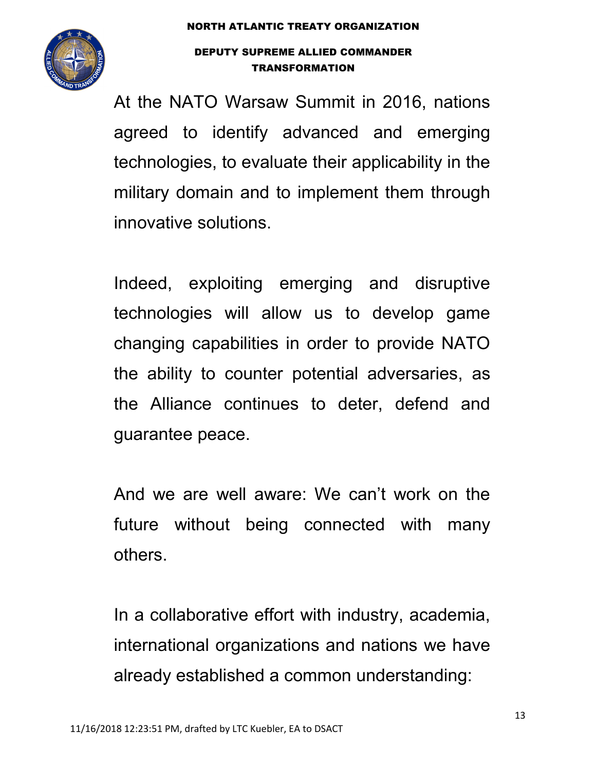

At the NATO Warsaw Summit in 2016, nations agreed to identify advanced and emerging technologies, to evaluate their applicability in the military domain and to implement them through innovative solutions.

Indeed, exploiting emerging and disruptive technologies will allow us to develop game changing capabilities in order to provide NATO the ability to counter potential adversaries, as the Alliance continues to deter, defend and guarantee peace.

And we are well aware: We can't work on the future without being connected with many others.

In a collaborative effort with industry, academia, international organizations and nations we have already established a common understanding: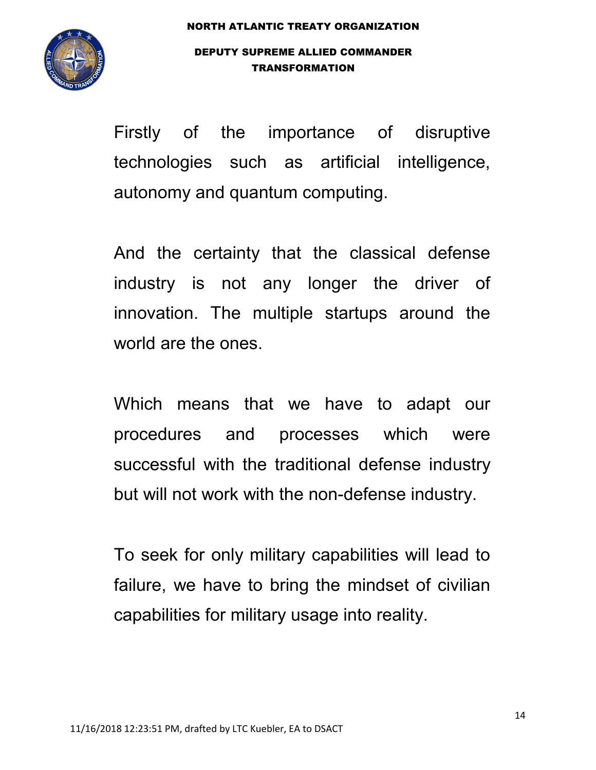

Firstly of the importance of disruptive technologies such as artificial intelligence, autonomy and quantum computing.

And the certainty that the classical defense industry is not any longer the driver of innovation. The multiple startups around the world are the ones.

Which means that we have to adapt our procedures and processes which were successful with the traditional defense industry but will not work with the non-defense industry.

To seek for only military capabilities will lead to failure, we have to bring the mindset of civilian capabilities for military usage into reality.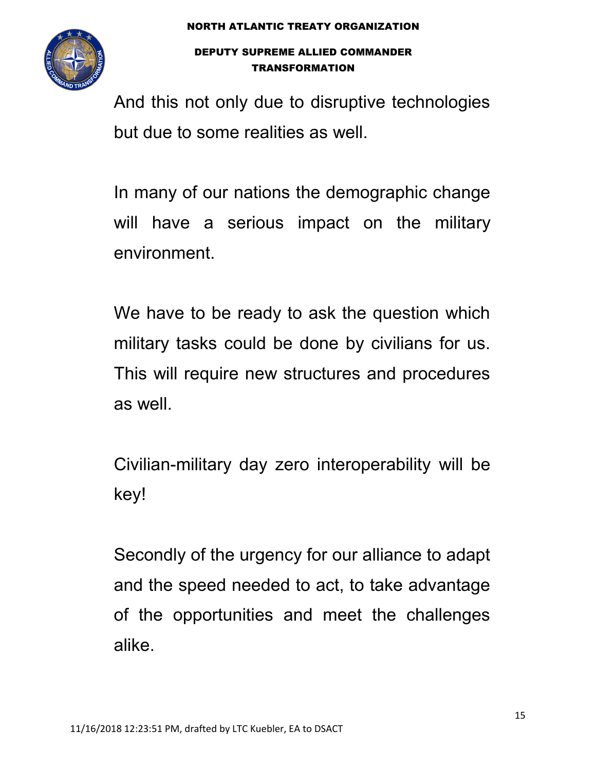

And this not only due to disruptive technologies but due to some realities as well.

In many of our nations the demographic change will have a serious impact on the military environment.

We have to be ready to ask the question which military tasks could be done by civilians for us. This will require new structures and procedures as well.

Civilian-military day zero interoperability will be key!

Secondly of the urgency for our alliance to adapt and the speed needed to act, to take advantage of the opportunities and meet the challenges alike.